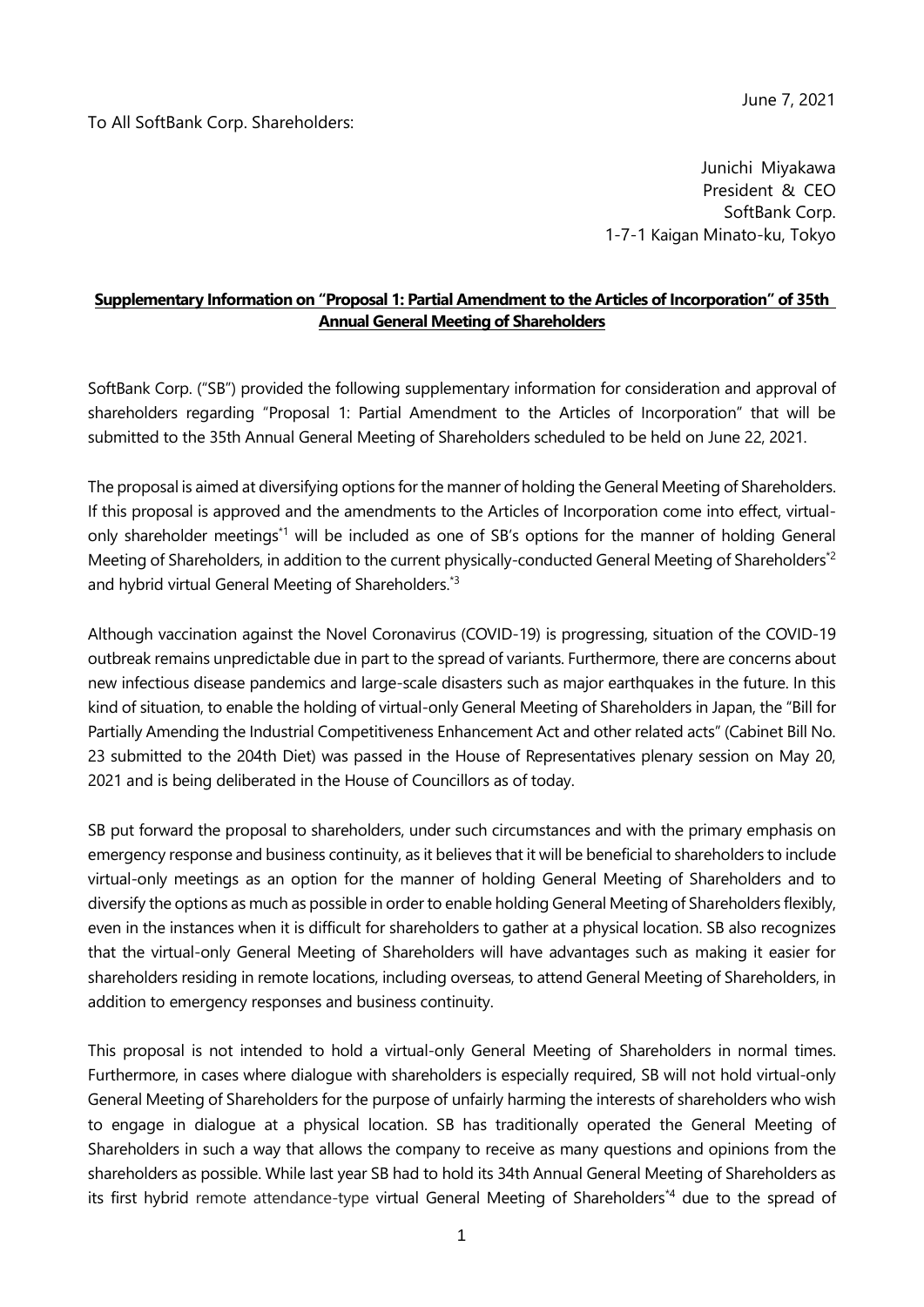To All SoftBank Corp. Shareholders:

Junichi Miyakawa President & CEO SoftBank Corp. 1-7-1 Kaigan Minato-ku, Tokyo

## **Supplementary Information on "Proposal 1: Partial Amendment to the Articles of Incorporation" of 35th Annual General Meeting of Shareholders**

SoftBank Corp. ("SB") provided the following supplementary information for consideration and approval of shareholders regarding "Proposal 1: Partial Amendment to the Articles of Incorporation" that will be submitted to the 35th Annual General Meeting of Shareholders scheduled to be held on June 22, 2021.

The proposal is aimed at diversifying options for the manner of holding the General Meeting of Shareholders. If this proposal is approved and the amendments to the Articles of Incorporation come into effect, virtualonly shareholder meetings\*1 will be included as one of SB's options for the manner of holding General Meeting of Shareholders, in addition to the current physically-conducted General Meeting of Shareholders<sup>\*2</sup> and hybrid virtual General Meeting of Shareholders.<sup>\*3</sup>

Although vaccination against the Novel Coronavirus (COVID-19) is progressing, situation of the COVID-19 outbreak remains unpredictable due in part to the spread of variants. Furthermore, there are concerns about new infectious disease pandemics and large-scale disasters such as major earthquakes in the future. In this kind of situation, to enable the holding of virtual-only General Meeting of Shareholders in Japan, the "Bill for Partially Amending the Industrial Competitiveness Enhancement Act and other related acts" (Cabinet Bill No. 23 submitted to the 204th Diet) was passed in the House of Representatives plenary session on May 20, 2021 and is being deliberated in the House of Councillors as of today.

SB put forward the proposal to shareholders, under such circumstances and with the primary emphasis on emergency response and business continuity, as it believes that it will be beneficial to shareholders to include virtual-only meetings as an option for the manner of holding General Meeting of Shareholders and to diversify the options as much as possible in order to enable holding General Meeting of Shareholders flexibly, even in the instances when it is difficult for shareholders to gather at a physical location. SB also recognizes that the virtual-only General Meeting of Shareholders will have advantages such as making it easier for shareholders residing in remote locations, including overseas, to attend General Meeting of Shareholders, in addition to emergency responses and business continuity.

This proposal is not intended to hold a virtual-only General Meeting of Shareholders in normal times. Furthermore, in cases where dialogue with shareholders is especially required, SB will not hold virtual-only General Meeting of Shareholders for the purpose of unfairly harming the interests of shareholders who wish to engage in dialogue at a physical location. SB has traditionally operated the General Meeting of Shareholders in such a way that allows the company to receive as many questions and opinions from the shareholders as possible. While last year SB had to hold its 34th Annual General Meeting of Shareholders as its first hybrid remote attendance-type virtual General Meeting of Shareholders\*4 due to the spread of